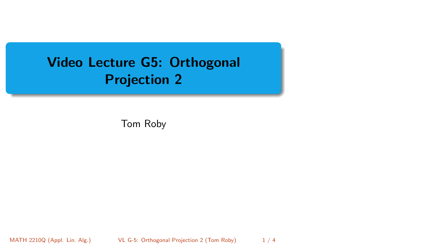# <span id="page-0-0"></span>Video Lecture G5: Orthogonal Projection 2

Tom Roby

MATH 2210Q (Appl. Lin. Alg.) [VL G-5: Orthogonal Projection 2](#page-3-0) (Tom Roby) 1 / 4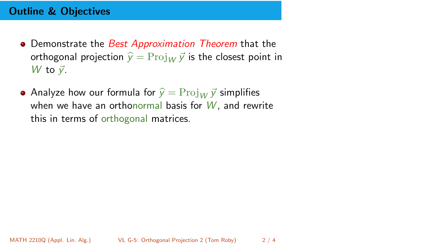## Outline & Objectives

- Demonstrate the Best Approximation Theorem that the orthogonal projection  $\hat{y} = \text{Proj}_{W} \vec{y}$  is the closest point in  $W$  to  $\vec{v}$ .
- Analyze how our formula for  $\hat{v} = \text{Proj}_{W} \vec{v}$  simplifies when we have an orthonormal basis for  $W$ , and rewrite this in terms of orthogonal matrices.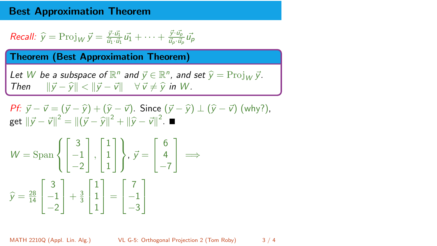## Best Approximation Theorem

Recall: 
$$
\widehat{y} = \text{Proj}_W \, \vec{y} = \frac{\vec{y} \cdot \vec{u_1}}{\vec{u_1} \cdot \vec{u_1}} \, \vec{u_1} + \dots + \frac{\vec{y} \cdot \vec{u_p}}{\vec{u_p} \cdot \vec{u_p}} \, \vec{u_p}
$$

Theorem (Best Approximation Theorem)

Let W be a subspace of 
$$
\mathbb{R}^n
$$
 and  $\vec{y} \in \mathbb{R}^n$ , and set  $\hat{y} = \text{Proj}_W \vec{y}$ .  
\nThen  $||\vec{y} - \hat{y}|| < ||\vec{y} - \vec{v}|| \quad \forall \vec{v} \neq \hat{y}$  in W.

*Pf*: 
$$
\vec{y} - \vec{v} = (\vec{y} - \hat{y}) + (\hat{y} - \vec{v})
$$
. Since  $(\vec{y} - \hat{y}) \perp (\hat{y} - \vec{v})$  (why?),  
get  $||\vec{y} - \vec{v}||^2 = ||(\vec{y} - \hat{y})||^2 + ||\hat{y} - \vec{v}||^2$ .

$$
W = \text{Span}\left\{ \begin{bmatrix} 3 \\ -1 \\ -2 \end{bmatrix}, \begin{bmatrix} 1 \\ 1 \\ 1 \end{bmatrix} \right\}, \ \vec{y} = \begin{bmatrix} 6 \\ 4 \\ -7 \end{bmatrix} \implies
$$

$$
\hat{y} = \frac{28}{14} \begin{bmatrix} 3 \\ -1 \\ -2 \end{bmatrix} + \frac{3}{3} \begin{bmatrix} 1 \\ 1 \\ 1 \end{bmatrix} = \begin{bmatrix} 7 \\ -1 \\ -3 \end{bmatrix}
$$